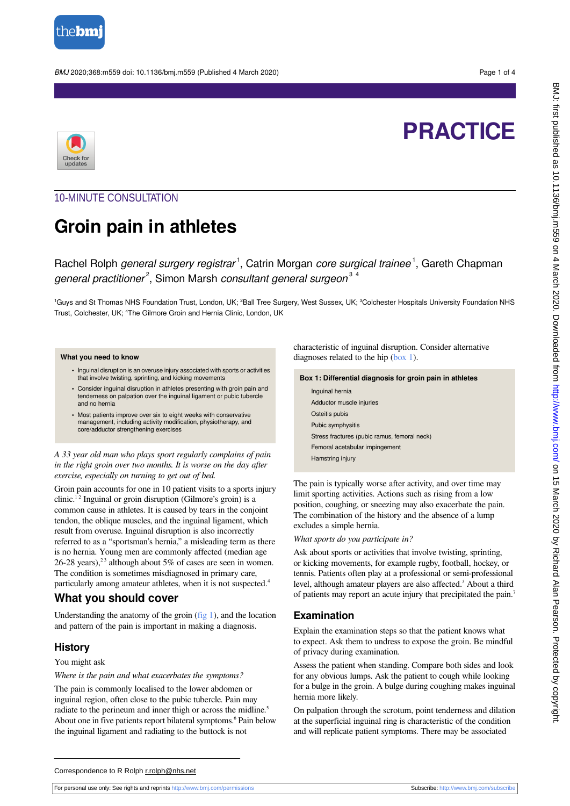

BMJ 2020;368:m559 doi: 10.1136/bmj.m559 (Published 4 March 2020) Page 1 of 4



# **PRACTICE**

# 10-MINUTE CONSULTATION

# **Groin pain in athletes**

Rachel Rolph *general surgery registrar<sup>1</sup>*, Catrin Morgan *core surgical trainee<sup>1</sup>*, Gareth Chapman general practitioner<sup>2</sup>, Simon Marsh consultant general surgeon<sup>34</sup>

<sup>1</sup>Guys and St Thomas NHS Foundation Trust, London, UK; <sup>2</sup>Ball Tree Surgery, West Sussex, UK; <sup>3</sup>Colchester Hospitals University Foundation NHS Trust, Colchester, UK; <sup>4</sup>The Gilmore Groin and Hernia Clinic, London, UK

#### **What you need to know**

- **•** Inguinal disruption is an overuse injury associated with sports or activities that involve twisting, sprinting, and kicking movements
- **•** Consider inguinal disruption in athletes presenting with groin pain and tenderness on palpation over the inguinal ligament or pubic tubercle and no hernia
- **•** Most patients improve over six to eight weeks with conservative management, including activity modification, physiotherapy, and core/adductor strengthening exercises

*A 33 year old man who plays sport regularly complains of pain in the right groin over two months. It is worse on the day after exercise, especially on turning to get out of bed.*

Groin pain accounts for one in 10 patient visits to a sports injury clinic.<sup>12</sup> Inguinal or groin disruption (Gilmore's groin) is a common cause in athletes. It is caused by tears in the conjoint tendon, the oblique muscles, and the inguinal ligament, which result from overuse. Inguinal disruption is also incorrectly referred to as a "sportsman's hernia," a misleading term as there is no hernia. Young men are commonly affected (median age 26-28 years),<sup>23</sup> although about 5% of cases are seen in women. The condition is sometimes misdiagnosed in primary care, particularly among amateur athletes, when it is not suspected.<sup>4</sup>

## **What you should cover**

Understanding the anatomy of the groin [\(fig 1](#page-2-0)), and the location and pattern of the pain is important in making a diagnosis.

#### **History**

You might ask

*Where is the pain and what exacerbates the symptoms?*

The pain is commonly localised to the lower abdomen or inguinal region, often close to the pubic tubercle. Pain may radiate to the perineum and inner thigh or across the midline.<sup>5</sup> About one in five patients report bilateral symptoms.<sup>6</sup> Pain below the inguinal ligament and radiating to the buttock is not

<span id="page-0-0"></span>characteristic of inguinal disruption. Consider alternative diagnoses related to the hip [\(box 1\)](#page-0-0).

#### **Box 1: Differential diagnosis for groin pain in athletes**

| Inquinal hernia                              |
|----------------------------------------------|
| Adductor muscle injuries                     |
| Osteitis pubis                               |
| Pubic symphysitis                            |
| Stress fractures (pubic ramus, femoral neck) |
| Femoral acetabular impingement               |
| Hamstring injury                             |

The pain is typically worse after activity, and over time may limit sporting activities. Actions such as rising from a low position, coughing, or sneezing may also exacerbate the pain. The combination of the history and the absence of a lump excludes a simple hernia.

#### *What sports do you participate in?*

Ask about sports or activities that involve twisting, sprinting, or kicking movements, for example rugby, football, hockey, or tennis. Patients often play at a professional or semi-professional level, although amateur players are also affected.<sup>3</sup> About a third of patients may report an acute injury that precipitated the pain.<sup>7</sup>

#### **Examination**

Explain the examination steps so that the patient knows what to expect. Ask them to undress to expose the groin. Be mindful of privacy during examination.

Assess the patient when standing. Compare both sides and look for any obvious lumps. Ask the patient to cough while looking for a bulge in the groin. A bulge during coughing makes inguinal hernia more likely.

On palpation through the scrotum, point tenderness and dilation at the superficial inguinal ring is characteristic of the condition and will replicate patient symptoms. There may be associated

For personal use only: See rights and reprints<http://www.bmj.com/permissions> Subscribe: <http://www.bmj.com/subscribe>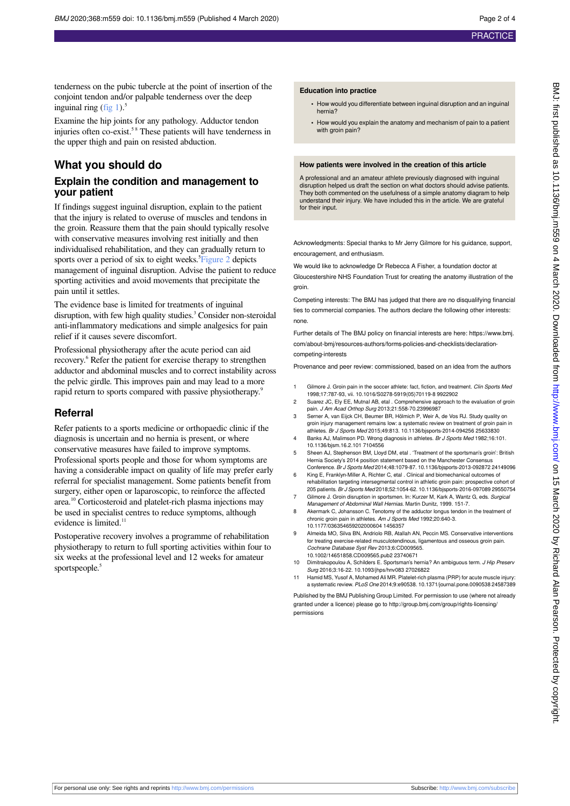tenderness on the pubic tubercle at the point of insertion of the conjoint tendon and/or palpable tenderness over the deep inguinal ring (fig  $1$ ).<sup>5</sup>

Examine the hip joints for any pathology. Adductor tendon injuries often co-exist.<sup>58</sup> These patients will have tenderness in the upper thigh and pain on resisted abduction.

### **What you should do**

#### **Explain the condition and management to your patient**

If findings suggest inguinal disruption, explain to the patient that the injury is related to overuse of muscles and tendons in the groin. Reassure them that the pain should typically resolve with conservative measures involving rest initially and then individualised rehabilitation, and they can gradually return to sports over a period of six to eight weeks.<sup>5</sup>[Figure 2](#page-3-0) depicts management of inguinal disruption. Advise the patient to reduce sporting activities and avoid movements that precipitate the pain until it settles.

The evidence base is limited for treatments of inguinal disruption, with few high quality studies.<sup>3</sup> Consider non-steroidal anti-inflammatory medications and simple analgesics for pain relief if it causes severe discomfort.

Professional physiotherapy after the acute period can aid recovery.<sup>6</sup> Refer the patient for exercise therapy to strengthen adductor and abdominal muscles and to correct instability across the pelvic girdle. This improves pain and may lead to a more rapid return to sports compared with passive physiotherapy.<sup>9</sup>

#### **Referral**

Refer patients to a sports medicine or orthopaedic clinic if the diagnosis is uncertain and no hernia is present, or where conservative measures have failed to improve symptoms. Professional sports people and those for whom symptoms are having a considerable impact on quality of life may prefer early referral for specialist management. Some patients benefit from surgery, either open or laparoscopic, to reinforce the affected area.<sup>10</sup> Corticosteroid and platelet-rich plasma injections may be used in specialist centres to reduce symptoms, although evidence is limited.<sup>11</sup>

Postoperative recovery involves a programme of rehabilitation physiotherapy to return to full sporting activities within four to six weeks at the professional level and 12 weeks for amateur sportspeople.<sup>5</sup>

#### **Education into practice**

- **•** How would you differentiate between inguinal disruption and an inguinal hernia?
- **•** How would you explain the anatomy and mechanism of pain to a patient with groin pain?

#### **How patients were involved in the creation of this article**

A professional and an amateur athlete previously diagnosed with inguinal disruption helped us draft the section on what doctors should advise patients. They both commented on the usefulness of a simple anatomy diagram to help understand their injury. We have included this in the article. We are grateful for their input.

Acknowledgments: Special thanks to Mr Jerry Gilmore for his guidance, support, encouragement, and enthusiasm.

We would like to acknowledge Dr Rebecca A Fisher, a foundation doctor at Gloucestershire NHS Foundation Trust for creating the anatomy illustration of the groin.

Competing interests: The BMJ has judged that there are no disqualifying financial ties to commercial companies. The authors declare the following other interests: none.

Further details of The BMJ policy on financial interests are here: https://www.bmj. com/about-bmj/resources-authors/forms-policies-and-checklists/declaration-

competing-interests

Provenance and peer review: commissioned, based on an idea from the authors

- Gilmore J. Groin pain in the soccer athlete: fact, fiction, and treatment. Clin Sports Med 1998;17:787-93, vii. 10.1016/S0278-5919(05)70119-8 9922902
- 2 Suarez JC, Ely EE, Mutnal AB, etal . Comprehensive approach to the evaluation of groin pain. J Am Acad Orthop Surg 2013;21:558-70.23996987
- 3 Serner A, van Eijck CH, Beumer BR, Hölmich P, Weir A, de Vos RJ. Study quality on groin injury management remains low: a systematic review on treatment of groin pain in athletes. Br J Sports Med 2015;49:813. 10.1136/bjsports-2014-094256 25633830
- Banks AJ, Malimson PD. Wrong diagnosis in athletes. Br J Sports Med 1982;16:101. 10.1136/bjsm.16.2.101 7104556
- 5 Sheen AJ, Stephenson BM, Lloyd DM, etal . 'Treatment of the sportsman's groin': British Hernia Society's 2014 position statement based on the Manchester Consensus Conference. Br J Sports Med 2014;48:1079-87. 10.1136/bjsports-2013-092872 24149096
- 6 King E, Franklyn-Miller A, Richter C, etal . Clinical and biomechanical outcomes of rehabilitation targeting intersegmental control in athletic groin pain: prospective cohort of 205 patients. Br J Sports Med 2018;52:1054-62. 10.1136/bjsports-2016-097089 29550754
- Gilmore J. Groin disruption in sportsmen. In: Kurzer M, Kark A, Wantz G, eds. Surgical Management of Abdominal Wall Hernias. Martin Dunitz, 1999. 151-7.
- 8 Akermark C, Johansson C. Tenotomy of the adductor longus tendon in the treatment of chronic groin pain in athletes. Am J Sports Med 1992;20:640-3.
- 10.1177/036354659202000604 1456357 9 Almeida MO, Silva BN, Andriolo RB, Atallah AN, Peccin MS. Conservative interventions for treating exercise-related musculotendinous, ligamentous and osseous groin pain. Cochrane Database Syst Rev 2013;6:CD009565.

10.1002/14651858.CD009565.pub2 23740671

- 10 Dimitrakopoulou A, Schilders E. Sportsman's hernia? An ambiguous term. J Hip Preserv Surg 2016;3:16-22. 10.1093/jhps/hnv083 27026822
- Hamid MS, Yusof A, Mohamed Ali MR. Platelet-rich plasma (PRP) for acute muscle injury: a systematic review. PLoS One 2014;9:e90538. 10.1371/journal.pone.0090538 24587389

Published by the BMJ Publishing Group Limited. For permission to use (where not already granted under a licence) please go to [http://group.bmj.com/group/rights-licensing/](http://group.bmj.com/group/rights-licensing/permissions) [permissions](http://group.bmj.com/group/rights-licensing/permissions)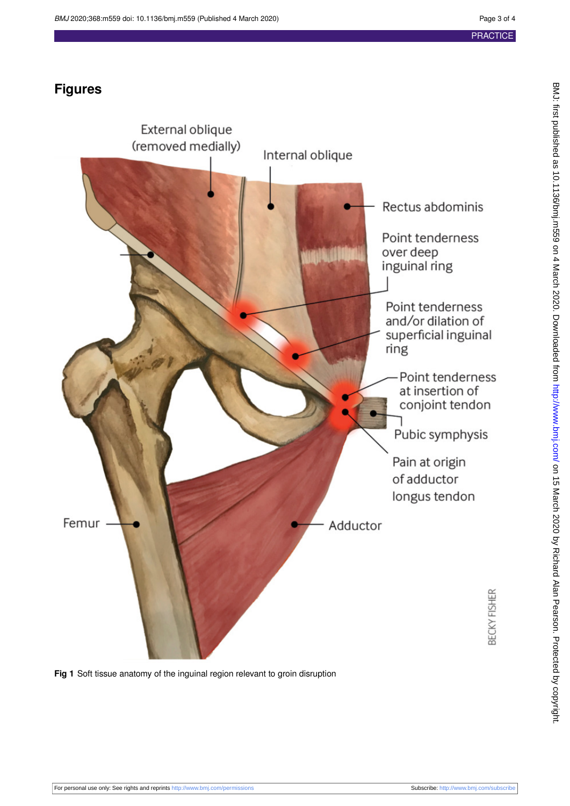# **Figures**

<span id="page-2-0"></span>

**Fig 1** Soft tissue anatomy of the inguinal region relevant to groin disruption